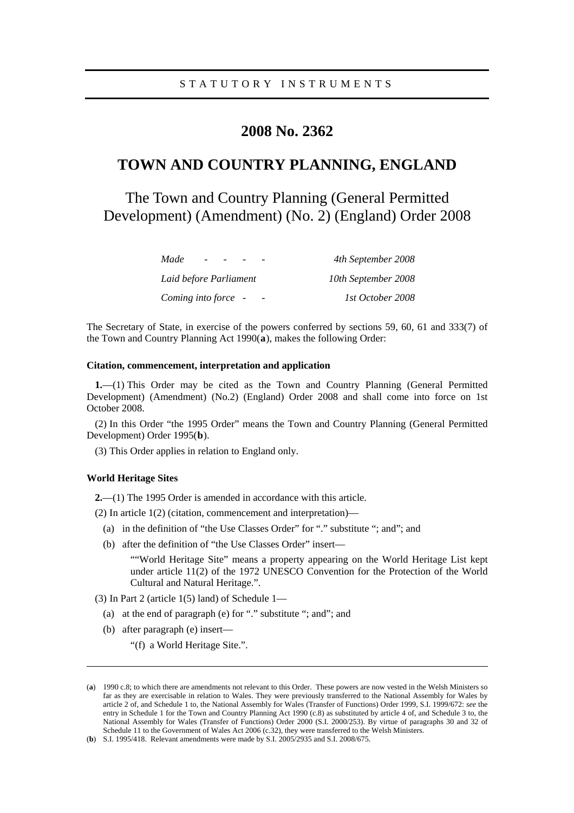# **2008 No. 2362**

# **TOWN AND COUNTRY PLANNING, ENGLAND**

The Town and Country Planning (General Permitted Development) (Amendment) (No. 2) (England) Order 2008

| Made<br>$\overline{\phantom{0}}$ | 4th September 2008  |
|----------------------------------|---------------------|
| Laid before Parliament           | 10th September 2008 |
| Coming into force -              | 1st October 2008    |

The Secretary of State, in exercise of the powers conferred by sections 59, 60, 61 and 333(7) of the Town and Country Planning Act 1990(**[a](#page-0-0)**), makes the following Order:

# **Citation, commencement, interpretation and application**

**1.**—(1) This Order may be cited as the Town and Country Planning (General Permitted Development) (Amendment) (No.2) (England) Order 2008 and shall come into force on 1st October 2008.

(2) In this Order "the 1995 Order" means the Town and Country Planning (General Permitted Development) Order 1995(**[b](#page-0-1)**).

(3) This Order applies in relation to England only.

# **World Heritage Sites**

<u>.</u>

**2.**—(1) The 1995 Order is amended in accordance with this article.

(2) In article 1(2) (citation, commencement and interpretation)—

- (a) in the definition of "the Use Classes Order" for "." substitute "; and"; and
- (b) after the definition of "the Use Classes Order" insert—

""World Heritage Site" means a property appearing on the World Heritage List kept under article 11(2) of the 1972 UNESCO Convention for the Protection of the World Cultural and Natural Heritage.".

(3) In Part 2 (article  $1(5)$  land) of Schedule  $1-$ 

- (a) at the end of paragraph (e) for "." substitute "; and"; and
- (b) after paragraph (e) insert—

"(f) a World Heritage Site.".

<span id="page-0-0"></span><sup>(</sup>**a**) 1990 c.8; to which there are amendments not relevant to this Order. These powers are now vested in the Welsh Ministers so far as they are exercisable in relation to Wales. They were previously transferred to the National Assembly for Wales by article 2 of, and Schedule 1 to, the National Assembly for Wales (Transfer of Functions) Order 1999, S.I. 1999/672: *see* the entry in Schedule 1 for the Town and Country Planning Act 1990 (c.8) as substituted by article 4 of, and Schedule 3 to, the National Assembly for Wales (Transfer of Functions) Order 2000 (S.I. 2000/253). By virtue of paragraphs 30 and 32 of Schedule 11 to the Government of Wales Act 2006 (c.32), they were transferred to the Welsh Ministers.

<span id="page-0-1"></span><sup>(</sup>**b**) S.I. 1995/418. Relevant amendments were made by S.I. 2005/2935 and S.I. 2008/675.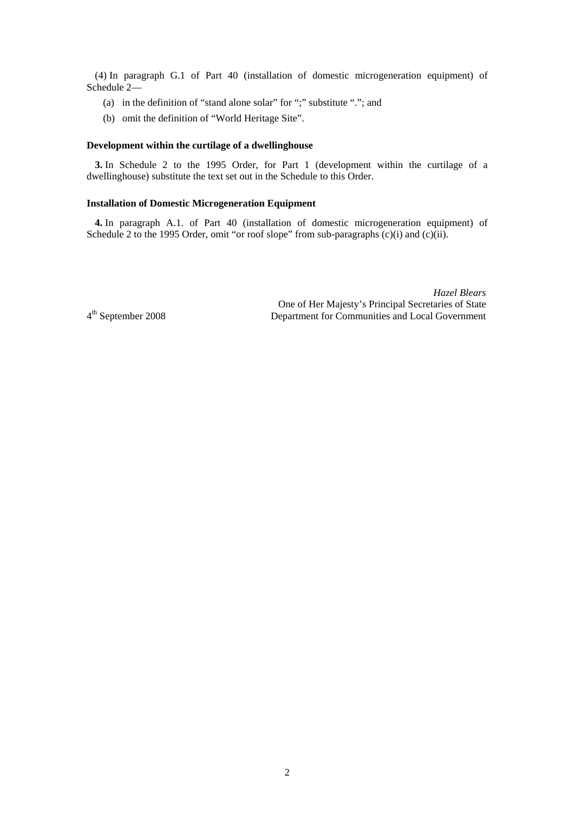(4) In paragraph G.1 of Part 40 (installation of domestic microgeneration equipment) of Schedule 2—

- (a) in the definition of "stand alone solar" for ";" substitute "."; and
- (b) omit the definition of "World Heritage Site".

### **Development within the curtilage of a dwellinghouse**

**3.** In Schedule 2 to the 1995 Order, for Part 1 (development within the curtilage of a dwellinghouse) substitute the text set out in the Schedule to this Order.

# **Installation of Domestic Microgeneration Equipment**

**4.** In paragraph A.1. of Part 40 (installation of domestic microgeneration equipment) of Schedule 2 to the 1995 Order, omit "or roof slope" from sub-paragraphs (c)(i) and (c)(ii).

*Hazel Blears* One of Her Majesty's Principal Secretaries of State 4th September 2008 Department for Communities and Local Government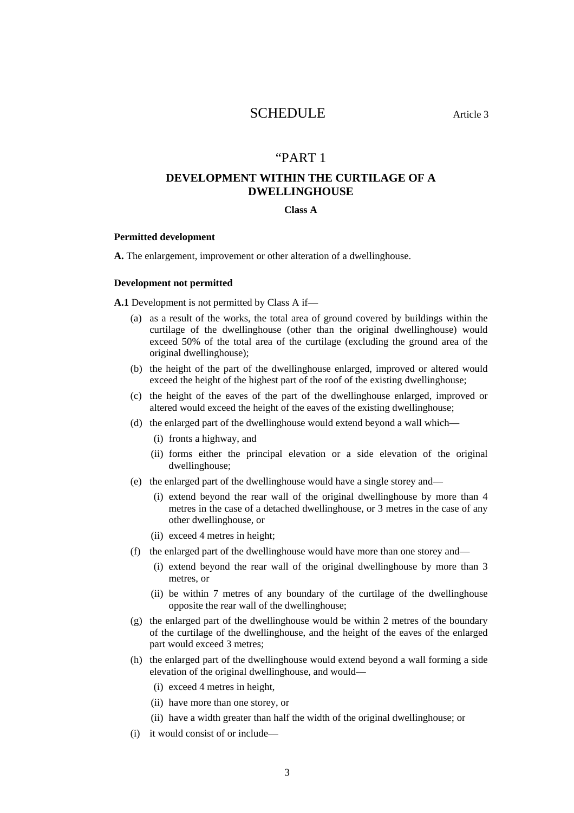# SCHEDULE Article 3

# "PART 1

# **DEVELOPMENT WITHIN THE CURTILAGE OF A DWELLINGHOUSE**

# **Class A**

#### **Permitted development**

**A.** The enlargement, improvement or other alteration of a dwellinghouse.

#### **Development not permitted**

**A.1** Development is not permitted by Class A if—

- (a) as a result of the works, the total area of ground covered by buildings within the curtilage of the dwellinghouse (other than the original dwellinghouse) would exceed 50% of the total area of the curtilage (excluding the ground area of the original dwellinghouse);
- (b) the height of the part of the dwellinghouse enlarged, improved or altered would exceed the height of the highest part of the roof of the existing dwellinghouse;
- (c) the height of the eaves of the part of the dwellinghouse enlarged, improved or altered would exceed the height of the eaves of the existing dwellinghouse;
- (d) the enlarged part of the dwellinghouse would extend beyond a wall which—
	- (i) fronts a highway, and
	- (ii) forms either the principal elevation or a side elevation of the original dwellinghouse;
- (e) the enlarged part of the dwellinghouse would have a single storey and—
	- (i) extend beyond the rear wall of the original dwellinghouse by more than 4 metres in the case of a detached dwellinghouse, or 3 metres in the case of any other dwellinghouse, or
	- (ii) exceed 4 metres in height;
- (f) the enlarged part of the dwellinghouse would have more than one storey and—
	- (i) extend beyond the rear wall of the original dwellinghouse by more than 3 metres, or
	- (ii) be within 7 metres of any boundary of the curtilage of the dwellinghouse opposite the rear wall of the dwellinghouse;
- (g) the enlarged part of the dwellinghouse would be within 2 metres of the boundary of the curtilage of the dwellinghouse, and the height of the eaves of the enlarged part would exceed 3 metres;
- (h) the enlarged part of the dwellinghouse would extend beyond a wall forming a side elevation of the original dwellinghouse, and would—
	- (i) exceed 4 metres in height,
	- (ii) have more than one storey, or
	- (ii) have a width greater than half the width of the original dwellinghouse; or
- (i) it would consist of or include—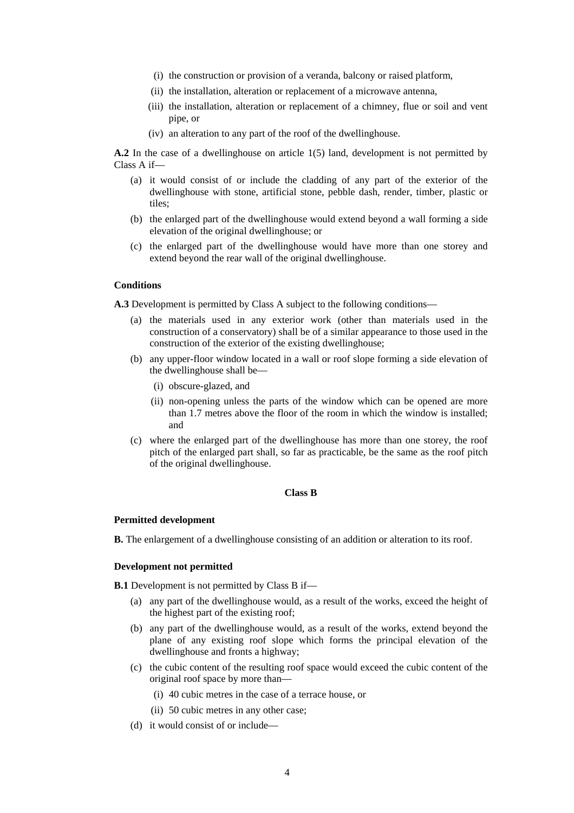- (i) the construction or provision of a veranda, balcony or raised platform,
- (ii) the installation, alteration or replacement of a microwave antenna,
- (iii) the installation, alteration or replacement of a chimney, flue or soil and vent pipe, or
- (iv) an alteration to any part of the roof of the dwellinghouse.

**A.2** In the case of a dwellinghouse on article 1(5) land, development is not permitted by Class A if—

- (a) it would consist of or include the cladding of any part of the exterior of the dwellinghouse with stone, artificial stone, pebble dash, render, timber, plastic or tiles;
- (b) the enlarged part of the dwellinghouse would extend beyond a wall forming a side elevation of the original dwellinghouse; or
- (c) the enlarged part of the dwellinghouse would have more than one storey and extend beyond the rear wall of the original dwellinghouse.

### **Conditions**

**A.3** Development is permitted by Class A subject to the following conditions—

- (a) the materials used in any exterior work (other than materials used in the construction of a conservatory) shall be of a similar appearance to those used in the construction of the exterior of the existing dwellinghouse;
- (b) any upper-floor window located in a wall or roof slope forming a side elevation of the dwellinghouse shall be—
	- (i) obscure-glazed, and
	- (ii) non-opening unless the parts of the window which can be opened are more than 1.7 metres above the floor of the room in which the window is installed; and
- (c) where the enlarged part of the dwellinghouse has more than one storey, the roof pitch of the enlarged part shall, so far as practicable, be the same as the roof pitch of the original dwellinghouse.

## **Class B**

#### **Permitted development**

**B.** The enlargement of a dwellinghouse consisting of an addition or alteration to its roof.

#### **Development not permitted**

**B.1** Development is not permitted by Class B if—

- (a) any part of the dwellinghouse would, as a result of the works, exceed the height of the highest part of the existing roof;
- (b) any part of the dwellinghouse would, as a result of the works, extend beyond the plane of any existing roof slope which forms the principal elevation of the dwellinghouse and fronts a highway;
- (c) the cubic content of the resulting roof space would exceed the cubic content of the original roof space by more than—
	- (i) 40 cubic metres in the case of a terrace house, or
	- (ii) 50 cubic metres in any other case;
- (d) it would consist of or include—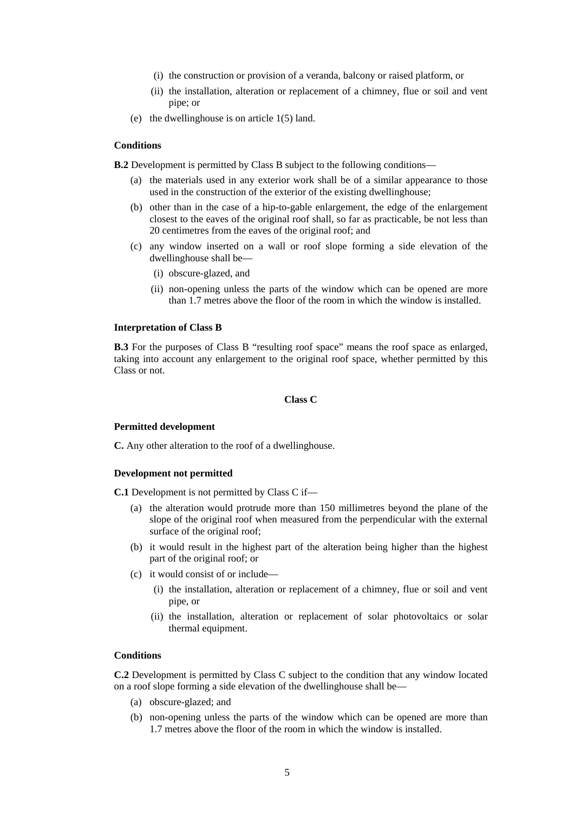- (i) the construction or provision of a veranda, balcony or raised platform, or
- (ii) the installation, alteration or replacement of a chimney, flue or soil and vent pipe; or
- (e) the dwellinghouse is on article 1(5) land.

#### **Conditions**

**B.2** Development is permitted by Class B subject to the following conditions—

- (a) the materials used in any exterior work shall be of a similar appearance to those used in the construction of the exterior of the existing dwellinghouse;
- (b) other than in the case of a hip-to-gable enlargement, the edge of the enlargement closest to the eaves of the original roof shall, so far as practicable, be not less than 20 centimetres from the eaves of the original roof; and
- (c) any window inserted on a wall or roof slope forming a side elevation of the dwellinghouse shall be—
	- (i) obscure-glazed, and
	- (ii) non-opening unless the parts of the window which can be opened are more than 1.7 metres above the floor of the room in which the window is installed.

#### **Interpretation of Class B**

**B.3** For the purposes of Class B "resulting roof space" means the roof space as enlarged, taking into account any enlargement to the original roof space, whether permitted by this Class or not.

# **Class C**

#### **Permitted development**

**C.** Any other alteration to the roof of a dwellinghouse.

#### **Development not permitted**

**C.1** Development is not permitted by Class C if—

- (a) the alteration would protrude more than 150 millimetres beyond the plane of the slope of the original roof when measured from the perpendicular with the external surface of the original roof;
- (b) it would result in the highest part of the alteration being higher than the highest part of the original roof; or
- (c) it would consist of or include—
	- (i) the installation, alteration or replacement of a chimney, flue or soil and vent pipe, or
	- (ii) the installation, alteration or replacement of solar photovoltaics or solar thermal equipment.

#### **Conditions**

**C.2** Development is permitted by Class C subject to the condition that any window located on a roof slope forming a side elevation of the dwellinghouse shall be—

- (a) obscure-glazed; and
- (b) non-opening unless the parts of the window which can be opened are more than 1.7 metres above the floor of the room in which the window is installed.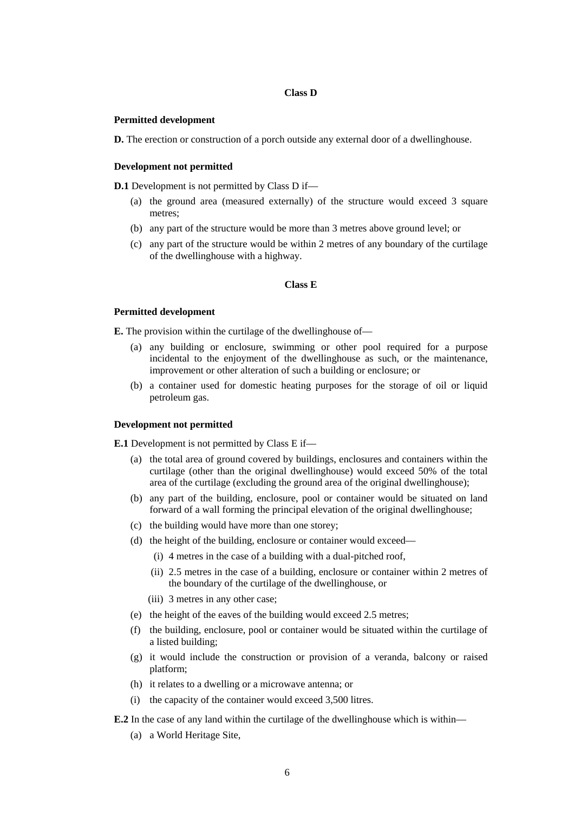# **Class D**

#### **Permitted development**

**D.** The erection or construction of a porch outside any external door of a dwellinghouse.

#### **Development not permitted**

**D.1** Development is not permitted by Class D if—

- (a) the ground area (measured externally) of the structure would exceed 3 square metres;
- (b) any part of the structure would be more than 3 metres above ground level; or
- (c) any part of the structure would be within 2 metres of any boundary of the curtilage of the dwellinghouse with a highway.

#### **Class E**

#### **Permitted development**

**E.** The provision within the curtilage of the dwellinghouse of—

- (a) any building or enclosure, swimming or other pool required for a purpose incidental to the enjoyment of the dwellinghouse as such, or the maintenance, improvement or other alteration of such a building or enclosure; or
- (b) a container used for domestic heating purposes for the storage of oil or liquid petroleum gas.

#### **Development not permitted**

**E.1** Development is not permitted by Class E if—

- (a) the total area of ground covered by buildings, enclosures and containers within the curtilage (other than the original dwellinghouse) would exceed 50% of the total area of the curtilage (excluding the ground area of the original dwellinghouse);
- (b) any part of the building, enclosure, pool or container would be situated on land forward of a wall forming the principal elevation of the original dwellinghouse;
- (c) the building would have more than one storey;
- (d) the height of the building, enclosure or container would exceed—
	- (i) 4 metres in the case of a building with a dual-pitched roof,
	- (ii) 2.5 metres in the case of a building, enclosure or container within 2 metres of the boundary of the curtilage of the dwellinghouse, or
	- (iii) 3 metres in any other case;
- (e) the height of the eaves of the building would exceed 2.5 metres;
- (f) the building, enclosure, pool or container would be situated within the curtilage of a listed building;
- (g) it would include the construction or provision of a veranda, balcony or raised platform;
- (h) it relates to a dwelling or a microwave antenna; or
- (i) the capacity of the container would exceed 3,500 litres.
- **E.2** In the case of any land within the curtilage of the dwellinghouse which is within—
	- (a) a World Heritage Site,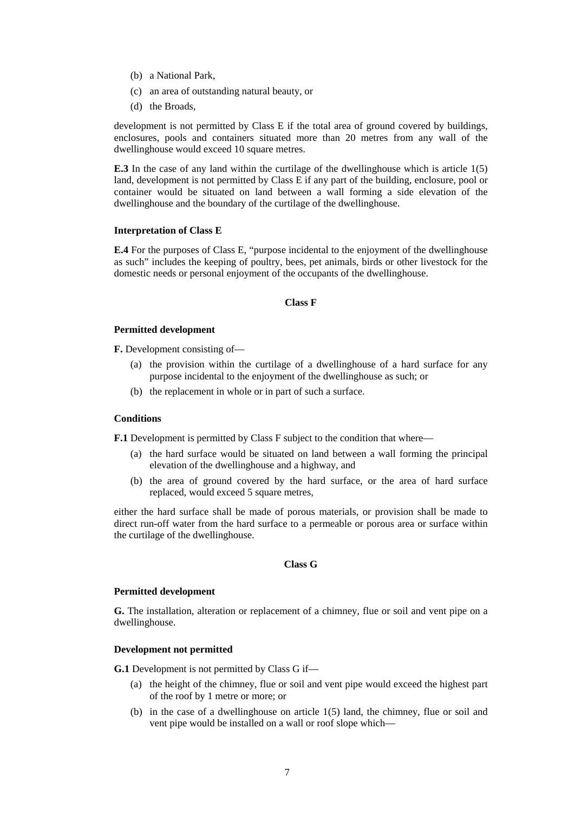- (b) a National Park,
- (c) an area of outstanding natural beauty, or
- (d) the Broads,

development is not permitted by Class E if the total area of ground covered by buildings, enclosures, pools and containers situated more than 20 metres from any wall of the dwellinghouse would exceed 10 square metres.

**E.3** In the case of any land within the curtilage of the dwellinghouse which is article 1(5) land, development is not permitted by Class E if any part of the building, enclosure, pool or container would be situated on land between a wall forming a side elevation of the dwellinghouse and the boundary of the curtilage of the dwellinghouse.

#### **Interpretation of Class E**

**E.4** For the purposes of Class E, "purpose incidental to the enjoyment of the dwellinghouse as such" includes the keeping of poultry, bees, pet animals, birds or other livestock for the domestic needs or personal enjoyment of the occupants of the dwellinghouse.

# **Class F**

# **Permitted development**

**F.** Development consisting of—

- (a) the provision within the curtilage of a dwellinghouse of a hard surface for any purpose incidental to the enjoyment of the dwellinghouse as such; or
- (b) the replacement in whole or in part of such a surface.

# **Conditions**

**F.1** Development is permitted by Class F subject to the condition that where—

- (a) the hard surface would be situated on land between a wall forming the principal elevation of the dwellinghouse and a highway, and
- (b) the area of ground covered by the hard surface, or the area of hard surface replaced, would exceed 5 square metres,

either the hard surface shall be made of porous materials, or provision shall be made to direct run-off water from the hard surface to a permeable or porous area or surface within the curtilage of the dwellinghouse.

# **Class G**

#### **Permitted development**

**G.** The installation, alteration or replacement of a chimney, flue or soil and vent pipe on a dwellinghouse.

# **Development not permitted**

**G.1** Development is not permitted by Class G if—

- (a) the height of the chimney, flue or soil and vent pipe would exceed the highest part of the roof by 1 metre or more; or
- (b) in the case of a dwellinghouse on article 1(5) land, the chimney, flue or soil and vent pipe would be installed on a wall or roof slope which—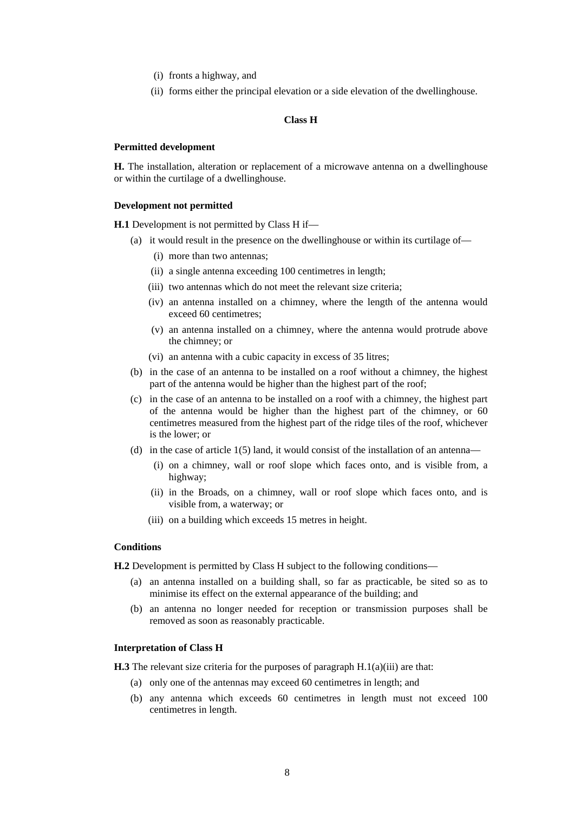- (i) fronts a highway, and
- (ii) forms either the principal elevation or a side elevation of the dwellinghouse.

#### **Class H**

#### **Permitted development**

**H.** The installation, alteration or replacement of a microwave antenna on a dwellinghouse or within the curtilage of a dwellinghouse.

### **Development not permitted**

**H.1** Development is not permitted by Class H if—

- (a) it would result in the presence on the dwellinghouse or within its curtilage of—
	- (i) more than two antennas;
	- (ii) a single antenna exceeding 100 centimetres in length;
	- (iii) two antennas which do not meet the relevant size criteria;
	- (iv) an antenna installed on a chimney, where the length of the antenna would exceed 60 centimetres;
	- (v) an antenna installed on a chimney, where the antenna would protrude above the chimney; or
	- (vi) an antenna with a cubic capacity in excess of 35 litres;
- (b) in the case of an antenna to be installed on a roof without a chimney, the highest part of the antenna would be higher than the highest part of the roof;
- (c) in the case of an antenna to be installed on a roof with a chimney, the highest part of the antenna would be higher than the highest part of the chimney, or 60 centimetres measured from the highest part of the ridge tiles of the roof, whichever is the lower; or
- (d) in the case of article  $1(5)$  land, it would consist of the installation of an antenna—
	- (i) on a chimney, wall or roof slope which faces onto, and is visible from, a highway;
	- (ii) in the Broads, on a chimney, wall or roof slope which faces onto, and is visible from, a waterway; or
	- (iii) on a building which exceeds 15 metres in height.

#### **Conditions**

**H.2** Development is permitted by Class H subject to the following conditions—

- (a) an antenna installed on a building shall, so far as practicable, be sited so as to minimise its effect on the external appearance of the building; and
- (b) an antenna no longer needed for reception or transmission purposes shall be removed as soon as reasonably practicable.

#### **Interpretation of Class H**

**H.3** The relevant size criteria for the purposes of paragraph H.1(a)(iii) are that:

- (a) only one of the antennas may exceed 60 centimetres in length; and
- (b) any antenna which exceeds 60 centimetres in length must not exceed 100 centimetres in length.